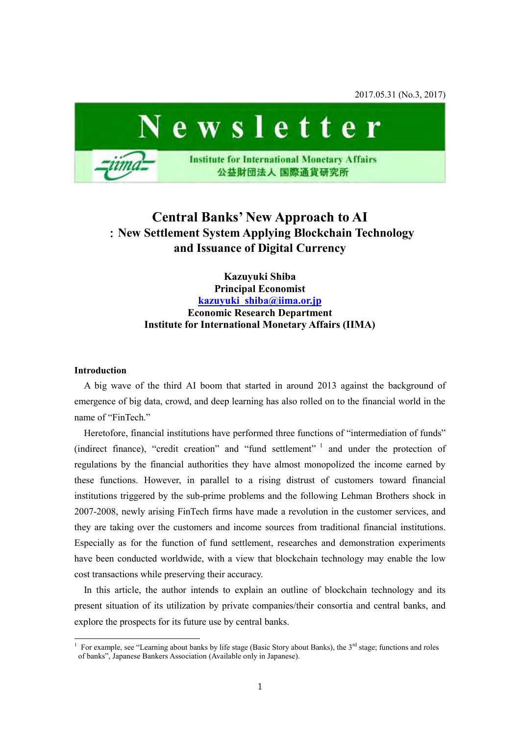2017.05.31 (No.3, 2017)



# **Central Banks' New Approach to AI**  :**New Settlement System Applying Blockchain Technology and Issuance of Digital Currency**

**Kazuyuki Shiba Principal Economist [kazuyuki\\_shiba@iima.or.jp](mailto:kazuyuki_shiba@iima.or.jp) Economic Research Department Institute for International Monetary Affairs (IIMA)** 

#### **Introduction**

-

A big wave of the third AI boom that started in around 2013 against the background of emergence of big data, crowd, and deep learning has also rolled on to the financial world in the name of "FinTech"

Heretofore, financial institutions have performed three functions of "intermediation of funds" (indirect finance), "credit creation" and "fund settlement" <sup>1</sup> and under the protection of regulations by the financial authorities they have almost monopolized the income earned by these functions. However, in parallel to a rising distrust of customers toward financial institutions triggered by the sub-prime problems and the following Lehman Brothers shock in 2007-2008, newly arising FinTech firms have made a revolution in the customer services, and they are taking over the customers and income sources from traditional financial institutions. Especially as for the function of fund settlement, researches and demonstration experiments have been conducted worldwide, with a view that blockchain technology may enable the low cost transactions while preserving their accuracy.

In this article, the author intends to explain an outline of blockchain technology and its present situation of its utilization by private companies/their consortia and central banks, and explore the prospects for its future use by central banks.

<sup>1</sup> For example, see "Learning about banks by life stage (Basic Story about Banks), the 3<sup>rd</sup> stage; functions and roles of banks", Japanese Bankers Association (Available only in Japanese).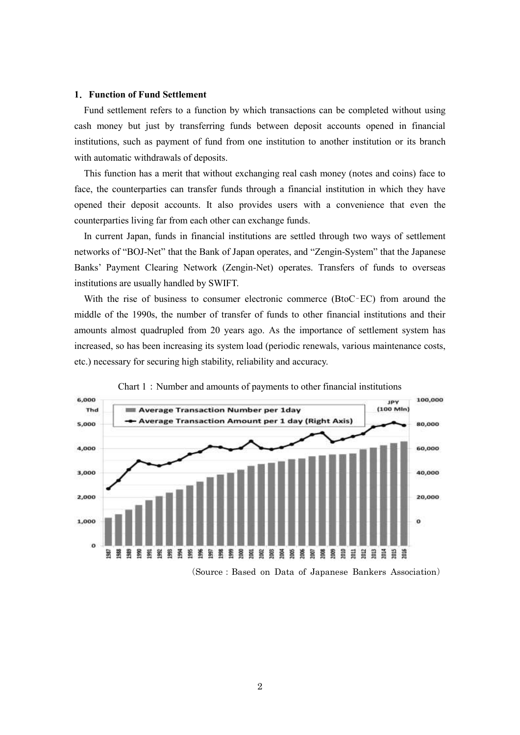#### **1**.**Function of Fund Settlement**

Fund settlement refers to a function by which transactions can be completed without using cash money but just by transferring funds between deposit accounts opened in financial institutions, such as payment of fund from one institution to another institution or its branch with automatic withdrawals of deposits.

This function has a merit that without exchanging real cash money (notes and coins) face to face, the counterparties can transfer funds through a financial institution in which they have opened their deposit accounts. It also provides users with a convenience that even the counterparties living far from each other can exchange funds.

In current Japan, funds in financial institutions are settled through two ways of settlement networks of "BOJ-Net" that the Bank of Japan operates, and "Zengin-System" that the Japanese Banks' Payment Clearing Network (Zengin-Net) operates. Transfers of funds to overseas institutions are usually handled by SWIFT.

With the rise of business to consumer electronic commerce (BtoC–EC) from around the middle of the 1990s, the number of transfer of funds to other financial institutions and their amounts almost quadrupled from 20 years ago. As the importance of settlement system has increased, so has been increasing its system load (periodic renewals, various maintenance costs, etc.) necessary for securing high stability, reliability and accuracy.



Chart 1: Number and amounts of payments to other financial institutions

(Source:Based on Data of Japanese Bankers Association)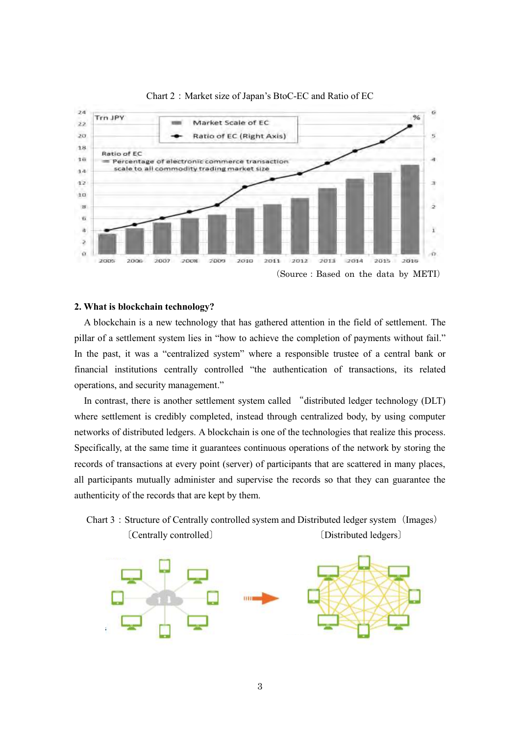

#### Chart 2: Market size of Japan's BtoC-EC and Ratio of EC

# **2. What is blockchain technology?**

A blockchain is a new technology that has gathered attention in the field of settlement. The pillar of a settlement system lies in "how to achieve the completion of payments without fail." In the past, it was a "centralized system" where a responsible trustee of a central bank or financial institutions centrally controlled "the authentication of transactions, its related operations, and security management."

In contrast, there is another settlement system called "distributed ledger technology (DLT) where settlement is credibly completed, instead through centralized body, by using computer networks of distributed ledgers. A blockchain is one of the technologies that realize this process. Specifically, at the same time it guarantees continuous operations of the network by storing the records of transactions at every point (server) of participants that are scattered in many places, all participants mutually administer and supervise the records so that they can guarantee the authenticity of the records that are kept by them.



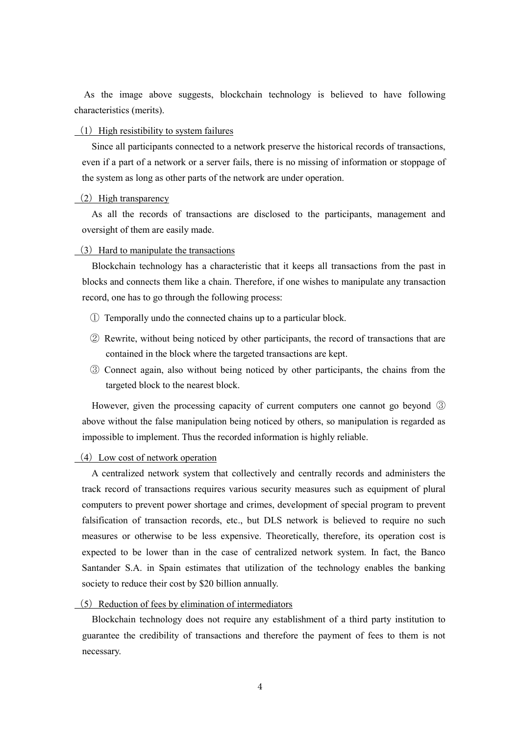As the image above suggests, blockchain technology is believed to have following characteristics (merits).

#### $(1)$  High resistibility to system failures

Since all participants connected to a network preserve the historical records of transactions, even if a part of a network or a server fails, there is no missing of information or stoppage of the system as long as other parts of the network are under operation.

#### $(2)$  High transparency

As all the records of transactions are disclosed to the participants, management and oversight of them are easily made.

#### $(3)$  Hard to manipulate the transactions

Blockchain technology has a characteristic that it keeps all transactions from the past in blocks and connects them like a chain. Therefore, if one wishes to manipulate any transaction record, one has to go through the following process:

- ① Temporally undo the connected chains up to a particular block.
- ② Rewrite, without being noticed by other participants, the record of transactions that are contained in the block where the targeted transactions are kept.
- ③ Connect again, also without being noticed by other participants, the chains from the targeted block to the nearest block.

However, given the processing capacity of current computers one cannot go beyond ③ above without the false manipulation being noticed by others, so manipulation is regarded as impossible to implement. Thus the recorded information is highly reliable.

# $(4)$  Low cost of network operation

A centralized network system that collectively and centrally records and administers the track record of transactions requires various security measures such as equipment of plural computers to prevent power shortage and crimes, development of special program to prevent falsification of transaction records, etc., but DLS network is believed to require no such measures or otherwise to be less expensive. Theoretically, therefore, its operation cost is expected to be lower than in the case of centralized network system. In fact, the Banco Santander S.A. in Spain estimates that utilization of the technology enables the banking society to reduce their cost by \$20 billion annually.

 $(5)$  Reduction of fees by elimination of intermediators

Blockchain technology does not require any establishment of a third party institution to guarantee the credibility of transactions and therefore the payment of fees to them is not necessary.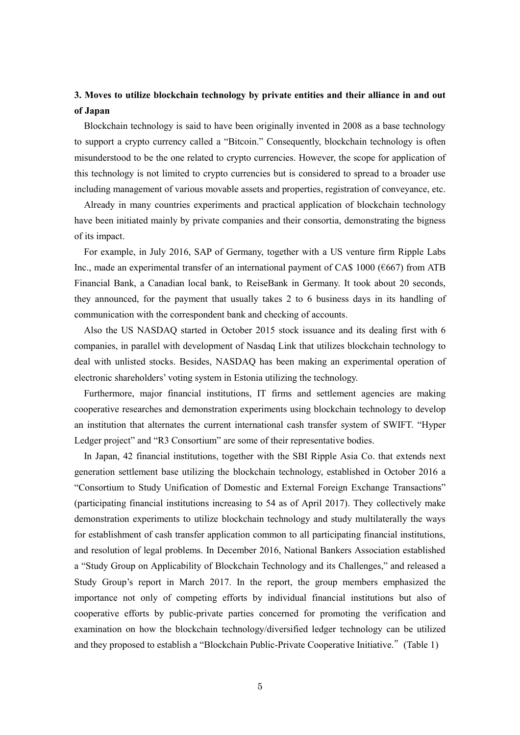# **3. Moves to utilize blockchain technology by private entities and their alliance in and out of Japan**

Blockchain technology is said to have been originally invented in 2008 as a base technology to support a crypto currency called a "Bitcoin." Consequently, blockchain technology is often misunderstood to be the one related to crypto currencies. However, the scope for application of this technology is not limited to crypto currencies but is considered to spread to a broader use including management of various movable assets and properties, registration of conveyance, etc.

Already in many countries experiments and practical application of blockchain technology have been initiated mainly by private companies and their consortia, demonstrating the bigness of its impact.

For example, in July 2016, SAP of Germany, together with a US venture firm Ripple Labs Inc., made an experimental transfer of an international payment of CA\$ 1000 (€667) from ATB Financial Bank, a Canadian local bank, to ReiseBank in Germany. It took about 20 seconds, they announced, for the payment that usually takes 2 to 6 business days in its handling of communication with the correspondent bank and checking of accounts.

Also the US NASDAQ started in October 2015 stock issuance and its dealing first with 6 companies, in parallel with development of Nasdaq Link that utilizes blockchain technology to deal with unlisted stocks. Besides, NASDAQ has been making an experimental operation of electronic shareholders' voting system in Estonia utilizing the technology.

Furthermore, major financial institutions, IT firms and settlement agencies are making cooperative researches and demonstration experiments using blockchain technology to develop an institution that alternates the current international cash transfer system of SWIFT. "Hyper Ledger project" and "R3 Consortium" are some of their representative bodies.

In Japan, 42 financial institutions, together with the SBI Ripple Asia Co. that extends next generation settlement base utilizing the blockchain technology, established in October 2016 a "Consortium to Study Unification of Domestic and External Foreign Exchange Transactions" (participating financial institutions increasing to 54 as of April 2017). They collectively make demonstration experiments to utilize blockchain technology and study multilaterally the ways for establishment of cash transfer application common to all participating financial institutions, and resolution of legal problems. In December 2016, National Bankers Association established a "Study Group on Applicability of Blockchain Technology and its Challenges," and released a Study Group's report in March 2017. In the report, the group members emphasized the importance not only of competing efforts by individual financial institutions but also of cooperative efforts by public-private parties concerned for promoting the verification and examination on how the blockchain technology/diversified ledger technology can be utilized and they proposed to establish a "Blockchain Public-Private Cooperative Initiative."(Table 1)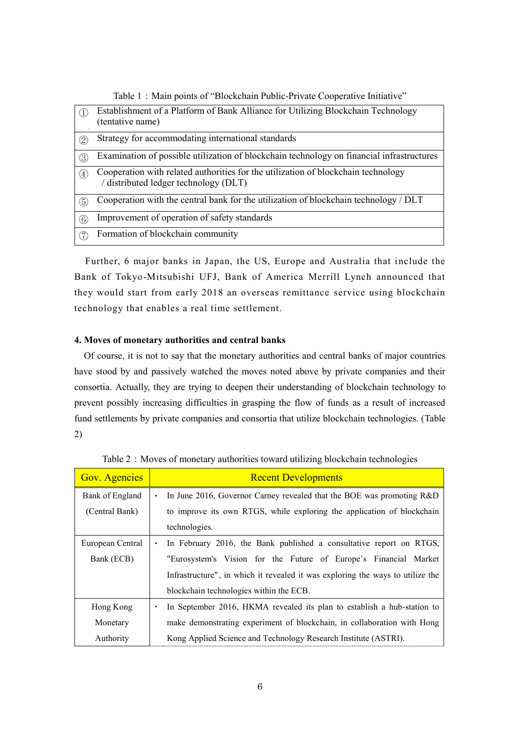|             | Establishment of a Platform of Bank Alliance for Utilizing Blockchain Technology<br>(tentative name)                     |
|-------------|--------------------------------------------------------------------------------------------------------------------------|
| 2           | Strategy for accommodating international standards                                                                       |
| 3           | Examination of possible utilization of blockchain technology on financial infrastructures                                |
| (4)         | Cooperation with related authorities for the utilization of blockchain technology<br>distributed ledger technology (DLT) |
| (5)         | Cooperation with the central bank for the utilization of blockchain technology / DLT                                     |
| $\circled6$ | Improvement of operation of safety standards                                                                             |
| (7)         | Formation of blockchain community                                                                                        |

Table 1: Main points of "Blockchain Public-Private Cooperative Initiative"

Further, 6 major banks in Japan, the US, Europe and Australia that include the Bank of Tokyo-Mitsubishi UFJ, Bank of America Merrill Lynch announced that they would start from early 2018 an overseas remittance service using blockchain technology that enables a real time settlement.

# **4. Moves of monetary authorities and central banks**

Of course, it is not to say that the monetary authorities and central banks of major countries have stood by and passively watched the moves noted above by private companies and their consortia. Actually, they are trying to deepen their understanding of blockchain technology to prevent possibly increasing difficulties in grasping the flow of funds as a result of increased fund settlements by private companies and consortia that utilize blockchain technologies. (Table 2)

| <b>Gov. Agencies</b> | <b>Recent Developments</b>                                                     |
|----------------------|--------------------------------------------------------------------------------|
| Bank of England      | In June 2016, Governor Carney revealed that the BOE was promoting R&D<br>٠     |
| (Central Bank)       | to improve its own RTGS, while exploring the application of blockchain         |
|                      | technologies.                                                                  |
| European Central     | In February 2016, the Bank published a consultative report on RTGS,            |
| Bank (ECB)           | "Eurosystem's Vision for the Future of Europe's Financial Market               |
|                      | Infrastructure", in which it revealed it was exploring the ways to utilize the |
|                      | blockchain technologies within the ECB.                                        |
| Hong Kong            | In September 2016, HKMA revealed its plan to establish a hub-station to        |
| Monetary             | make demonstrating experiment of blockchain, in collaboration with Hong        |
| Authority            | Kong Applied Science and Technology Research Institute (ASTRI).                |

Table 2: Moves of monetary authorities toward utilizing blockchain technologies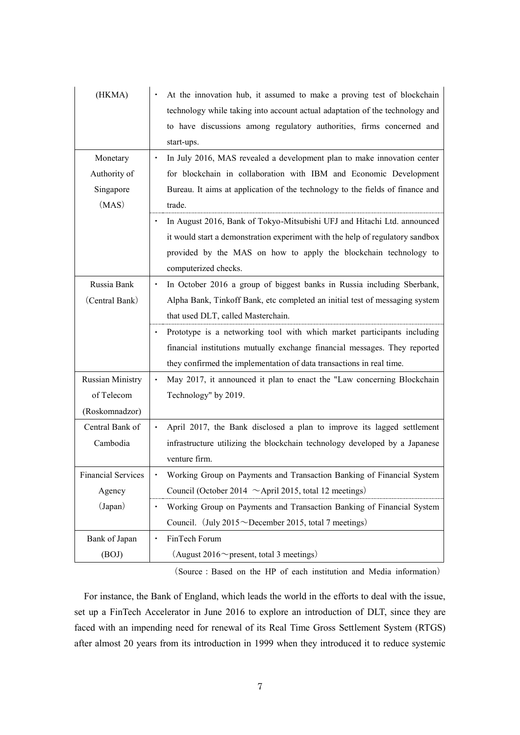| (HKMA)                    | At the innovation hub, it assumed to make a proving test of blockchain               |
|---------------------------|--------------------------------------------------------------------------------------|
|                           | technology while taking into account actual adaptation of the technology and         |
|                           | to have discussions among regulatory authorities, firms concerned and                |
|                           | start-ups.                                                                           |
| Monetary                  | In July 2016, MAS revealed a development plan to make innovation center<br>$\bullet$ |
| Authority of              | for blockchain in collaboration with IBM and Economic Development                    |
| Singapore                 | Bureau. It aims at application of the technology to the fields of finance and        |
| (MAS)                     | trade.                                                                               |
|                           |                                                                                      |
|                           | In August 2016, Bank of Tokyo-Mitsubishi UFJ and Hitachi Ltd. announced              |
|                           | it would start a demonstration experiment with the help of regulatory sandbox        |
|                           | provided by the MAS on how to apply the blockchain technology to                     |
|                           | computerized checks.                                                                 |
| Russia Bank               | In October 2016 a group of biggest banks in Russia including Sberbank,<br>٠          |
| (Central Bank)            | Alpha Bank, Tinkoff Bank, etc completed an initial test of messaging system          |
|                           | that used DLT, called Masterchain.                                                   |
|                           | Prototype is a networking tool with which market participants including              |
|                           | financial institutions mutually exchange financial messages. They reported           |
|                           | they confirmed the implementation of data transactions in real time.                 |
| <b>Russian Ministry</b>   | May 2017, it announced it plan to enact the "Law concerning Blockchain<br>$\bullet$  |
| of Telecom                | Technology" by 2019.                                                                 |
| (Roskomnadzor)            |                                                                                      |
| Central Bank of           | April 2017, the Bank disclosed a plan to improve its lagged settlement<br>$\bullet$  |
| Cambodia                  | infrastructure utilizing the blockchain technology developed by a Japanese           |
|                           | venture firm.                                                                        |
| <b>Financial Services</b> | Working Group on Payments and Transaction Banking of Financial System                |
| Agency                    | Council (October 2014 $\sim$ April 2015, total 12 meetings)                          |
| (Japan)                   | Working Group on Payments and Transaction Banking of Financial System<br>$\bullet$   |
|                           |                                                                                      |
|                           | Council. (July $2015 \sim$ December 2015, total 7 meetings)                          |
| Bank of Japan             | FinTech Forum                                                                        |

(Source: Based on the HP of each institution and Media information)

For instance, the Bank of England, which leads the world in the efforts to deal with the issue, set up a FinTech Accelerator in June 2016 to explore an introduction of DLT, since they are faced with an impending need for renewal of its Real Time Gross Settlement System (RTGS) after almost 20 years from its introduction in 1999 when they introduced it to reduce systemic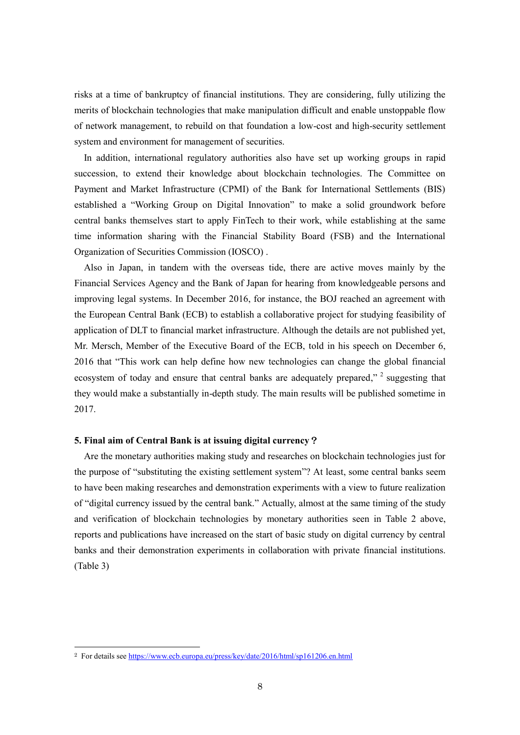risks at a time of bankruptcy of financial institutions. They are considering, fully utilizing the merits of blockchain technologies that make manipulation difficult and enable unstoppable flow of network management, to rebuild on that foundation a low-cost and high-security settlement system and environment for management of securities.

In addition, international regulatory authorities also have set up working groups in rapid succession, to extend their knowledge about blockchain technologies. The Committee on Payment and Market Infrastructure (CPMI) of the Bank for International Settlements (BIS) established a "Working Group on Digital Innovation" to make a solid groundwork before central banks themselves start to apply FinTech to their work, while establishing at the same time information sharing with the Financial Stability Board (FSB) and the International Organization of Securities Commission (IOSCO) .

Also in Japan, in tandem with the overseas tide, there are active moves mainly by the Financial Services Agency and the Bank of Japan for hearing from knowledgeable persons and improving legal systems. In December 2016, for instance, the BOJ reached an agreement with the European Central Bank (ECB) to establish a collaborative project for studying feasibility of application of DLT to financial market infrastructure. Although the details are not published yet, Mr. Mersch, Member of the Executive Board of the ECB, told in his speech on December 6, 2016 that "This work can help define how new technologies can change the global financial ecosystem of today and ensure that central banks are adequately prepared,"<sup>2</sup> suggesting that they would make a substantially in-depth study. The main results will be published sometime in 2017.

#### **5. Final aim of Central Bank is at issuing digital currency**?

Are the monetary authorities making study and researches on blockchain technologies just for the purpose of "substituting the existing settlement system"? At least, some central banks seem to have been making researches and demonstration experiments with a view to future realization of "digital currency issued by the central bank." Actually, almost at the same timing of the study and verification of blockchain technologies by monetary authorities seen in Table 2 above, reports and publications have increased on the start of basic study on digital currency by central banks and their demonstration experiments in collaboration with private financial institutions. (Table 3)

 $\overline{a}$ 

<sup>&</sup>lt;sup>2</sup> For details see<https://www.ecb.europa.eu/press/key/date/2016/html/sp161206.en.html>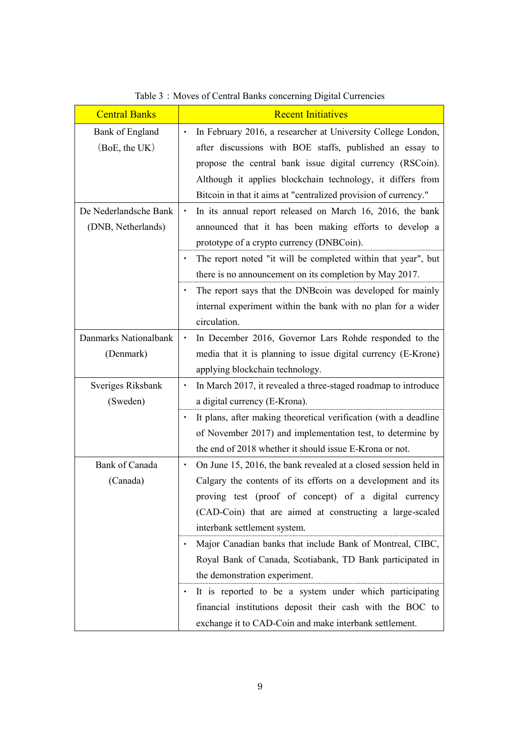| <b>Central Banks</b>  | <b>Recent Initiatives</b>                                                    |  |
|-----------------------|------------------------------------------------------------------------------|--|
| Bank of England       | In February 2016, a researcher at University College London,<br>$\bullet$    |  |
| (BoE, the UK)         | after discussions with BOE staffs, published an essay to                     |  |
|                       | propose the central bank issue digital currency (RSCoin).                    |  |
|                       | Although it applies blockchain technology, it differs from                   |  |
|                       | Bitcoin in that it aims at "centralized provision of currency."              |  |
| De Nederlandsche Bank | In its annual report released on March 16, 2016, the bank                    |  |
| (DNB, Netherlands)    | announced that it has been making efforts to develop a                       |  |
|                       | prototype of a crypto currency (DNBCoin).                                    |  |
|                       | The report noted "it will be completed within that year", but                |  |
|                       | there is no announcement on its completion by May 2017.                      |  |
|                       | The report says that the DNB coin was developed for mainly                   |  |
|                       | internal experiment within the bank with no plan for a wider                 |  |
|                       | circulation.                                                                 |  |
| Danmarks Nationalbank | In December 2016, Governor Lars Rohde responded to the<br>$\bullet$          |  |
| (Denmark)             | media that it is planning to issue digital currency (E-Krone)                |  |
|                       | applying blockchain technology.                                              |  |
| Sveriges Riksbank     | In March 2017, it revealed a three-staged roadmap to introduce<br>$\bullet$  |  |
| (Sweden)              | a digital currency (E-Krona).                                                |  |
|                       | It plans, after making theoretical verification (with a deadline             |  |
|                       | of November 2017) and implementation test, to determine by                   |  |
|                       | the end of 2018 whether it should issue E-Krona or not.                      |  |
| <b>Bank of Canada</b> | On June 15, 2016, the bank revealed at a closed session held in<br>$\bullet$ |  |
| (Canada)              | Calgary the contents of its efforts on a development and its                 |  |
|                       | proving test (proof of concept) of a digital currency                        |  |
|                       | (CAD-Coin) that are aimed at constructing a large-scaled                     |  |
|                       | interbank settlement system.                                                 |  |
|                       | Major Canadian banks that include Bank of Montreal, CIBC,                    |  |
|                       | Royal Bank of Canada, Scotiabank, TD Bank participated in                    |  |
|                       | the demonstration experiment.                                                |  |
|                       | It is reported to be a system under which participating                      |  |
|                       | financial institutions deposit their cash with the BOC to                    |  |
|                       | exchange it to CAD-Coin and make interbank settlement.                       |  |

Table 3:Moves of Central Banks concerning Digital Currencies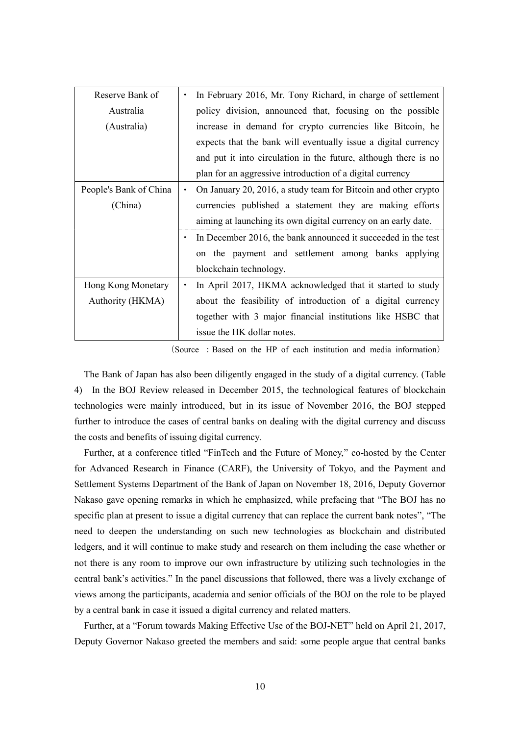| Reserve Bank of        |                                                          | In February 2016, Mr. Tony Richard, in charge of settlement     |
|------------------------|----------------------------------------------------------|-----------------------------------------------------------------|
| Australia              |                                                          | policy division, announced that, focusing on the possible       |
| (Australia)            |                                                          | increase in demand for crypto currencies like Bitcoin, he       |
|                        |                                                          | expects that the bank will eventually issue a digital currency  |
|                        |                                                          | and put it into circulation in the future, although there is no |
|                        |                                                          | plan for an aggressive introduction of a digital currency       |
| People's Bank of China |                                                          | On January 20, 2016, a study team for Bitcoin and other crypto  |
| (China)                | currencies published a statement they are making efforts |                                                                 |
|                        |                                                          | aiming at launching its own digital currency on an early date.  |
|                        |                                                          | In December 2016, the bank announced it succeeded in the test   |
|                        |                                                          | on the payment and settlement among banks applying              |
|                        |                                                          | blockchain technology.                                          |
| Hong Kong Monetary     | $\bullet$                                                | In April 2017, HKMA acknowledged that it started to study       |
| Authority (HKMA)       |                                                          | about the feasibility of introduction of a digital currency     |
|                        |                                                          | together with 3 major financial institutions like HSBC that     |
|                        |                                                          | issue the HK dollar notes.                                      |

(Source :Based on the HP of each institution and media information)

The Bank of Japan has also been diligently engaged in the study of a digital currency. (Table 4) In the BOJ Review released in December 2015, the technological features of blockchain technologies were mainly introduced, but in its issue of November 2016, the BOJ stepped further to introduce the cases of central banks on dealing with the digital currency and discuss the costs and benefits of issuing digital currency.

Further, at a conference titled "FinTech and the Future of Money," co-hosted by the Center for Advanced Research in Finance (CARF), the University of Tokyo, and the Payment and Settlement Systems Department of the Bank of Japan on November 18, 2016, Deputy Governor Nakaso gave opening remarks in which he emphasized, while prefacing that "The BOJ has no specific plan at present to issue a digital currency that can replace the current bank notes", "The need to deepen the understanding on such new technologies as blockchain and distributed ledgers, and it will continue to make study and research on them including the case whether or not there is any room to improve our own infrastructure by utilizing such technologies in the central bank's activities." In the panel discussions that followed, there was a lively exchange of views among the participants, academia and senior officials of the BOJ on the role to be played by a central bank in case it issued a digital currency and related matters.

Further, at a "Forum towards Making Effective Use of the BOJ-NET" held on April 21, 2017, Deputy Governor Nakaso greeted the members and said: some people argue that central banks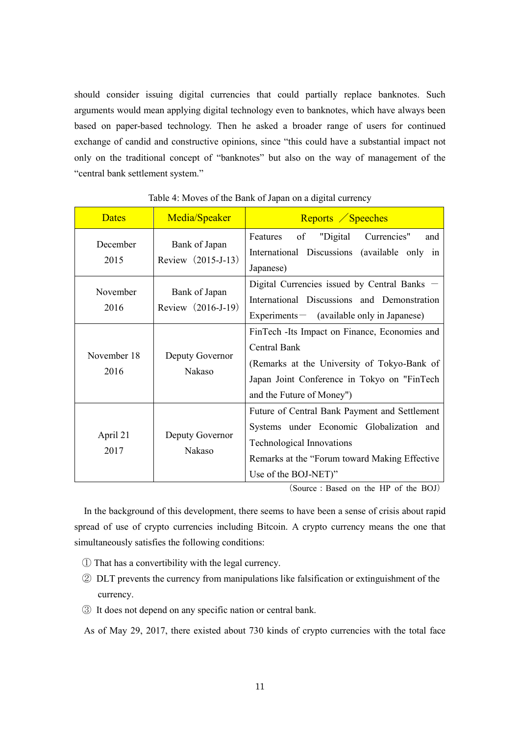should consider issuing digital currencies that could partially replace banknotes. Such arguments would mean applying digital technology even to banknotes, which have always been based on paper-based technology. Then he asked a broader range of users for continued exchange of candid and constructive opinions, since "this could have a substantial impact not only on the traditional concept of "banknotes" but also on the way of management of the "central bank settlement system."

| <b>Dates</b>        | Media/Speaker                       | Reports / Speeches                                                                                                                                                                                     |
|---------------------|-------------------------------------|--------------------------------------------------------------------------------------------------------------------------------------------------------------------------------------------------------|
| December<br>2015    | Bank of Japan<br>Review (2015-J-13) | "Digital Currencies"<br>of<br>Features<br>and<br>International Discussions (available only in<br>Japanese)                                                                                             |
| November<br>2016    | Bank of Japan<br>Review (2016-J-19) | Digital Currencies issued by Central Banks<br>International Discussions and Demonstration<br>$Experiments$ (available only in Japanese)                                                                |
| November 18<br>2016 | Deputy Governor<br>Nakaso           | FinTech - Its Impact on Finance, Economies and<br><b>Central Bank</b><br>(Remarks at the University of Tokyo-Bank of<br>Japan Joint Conference in Tokyo on "FinTech"<br>and the Future of Money")      |
| April 21<br>2017    | Deputy Governor<br>Nakaso           | Future of Central Bank Payment and Settlement<br>Systems under Economic Globalization and<br><b>Technological Innovations</b><br>Remarks at the "Forum toward Making Effective<br>Use of the BOJ-NET)" |

#### Table 4: Moves of the Bank of Japan on a digital currency

(Source:Based on the HP of the BOJ)

In the background of this development, there seems to have been a sense of crisis about rapid spread of use of crypto currencies including Bitcoin. A crypto currency means the one that simultaneously satisfies the following conditions:

- ① That has a convertibility with the legal currency.
- ② DLT prevents the currency from manipulations like falsification or extinguishment of the currency.
- ③ It does not depend on any specific nation or central bank.

As of May 29, 2017, there existed about 730 kinds of crypto currencies with the total face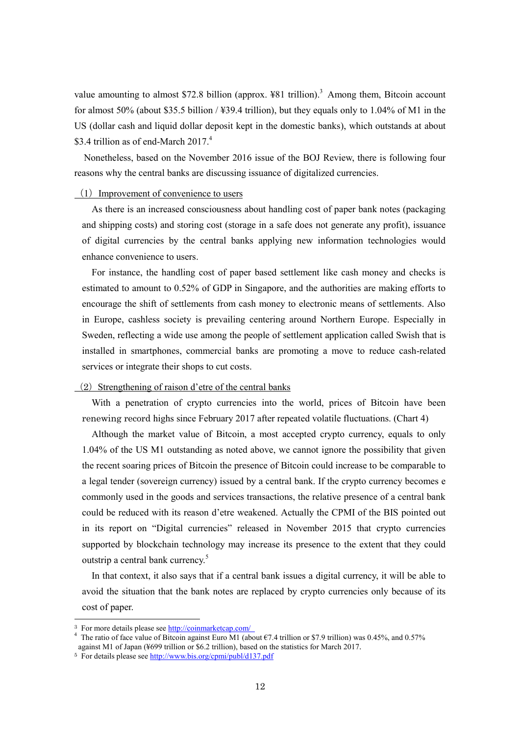value amounting to almost \$72.8 billion (approx.  $481$  trillion).<sup>3</sup> Among them, Bitcoin account for almost 50% (about \$35.5 billion / ¥39.4 trillion), but they equals only to 1.04% of M1 in the US (dollar cash and liquid dollar deposit kept in the domestic banks), which outstands at about \$3.4 trillion as of end-March 2017.<sup>4</sup>

Nonetheless, based on the November 2016 issue of the BOJ Review, there is following four reasons why the central banks are discussing issuance of digitalized currencies.

#### $(1)$  Improvement of convenience to users

As there is an increased consciousness about handling cost of paper bank notes (packaging and shipping costs) and storing cost (storage in a safe does not generate any profit), issuance of digital currencies by the central banks applying new information technologies would enhance convenience to users.

For instance, the handling cost of paper based settlement like cash money and checks is estimated to amount to 0.52% of GDP in Singapore, and the authorities are making efforts to encourage the shift of settlements from cash money to electronic means of settlements. Also in Europe, cashless society is prevailing centering around Northern Europe. Especially in Sweden, reflecting a wide use among the people of settlement application called Swish that is installed in smartphones, commercial banks are promoting a move to reduce cash-related services or integrate their shops to cut costs.

#### $(2)$  Strengthening of raison d'etre of the central banks

With a penetration of crypto currencies into the world, prices of Bitcoin have been renewing record highs since February 2017 after repeated volatile fluctuations. (Chart 4)

Although the market value of Bitcoin, a most accepted crypto currency, equals to only 1.04% of the US M1 outstanding as noted above, we cannot ignore the possibility that given the recent soaring prices of Bitcoin the presence of Bitcoin could increase to be comparable to a legal tender (sovereign currency) issued by a central bank. If the crypto currency becomes e commonly used in the goods and services transactions, the relative presence of a central bank could be reduced with its reason d'etre weakened. Actually the CPMI of the BIS pointed out in its report on "Digital currencies" released in November 2015 that crypto currencies supported by blockchain technology may increase its presence to the extent that they could outstrip a central bank currency.<sup>5</sup>

In that context, it also says that if a central bank issues a digital currency, it will be able to avoid the situation that the bank notes are replaced by crypto currencies only because of its cost of paper.

-

<sup>3</sup> For more details please se[e http://coinmarketcap.com/](http://coinmarketcap.com/) 

<sup>4</sup> The ratio of face value of Bitcoin against Euro M1 (about €7.4 trillion or \$7.9 trillion) was 0.45%, and 0.57% against M1 of Japan (¥699 trillion or \$6.2 trillion), based on the statistics for March 2017.

<sup>5</sup> For details please see<http://www.bis.org/cpmi/publ/d137.pdf>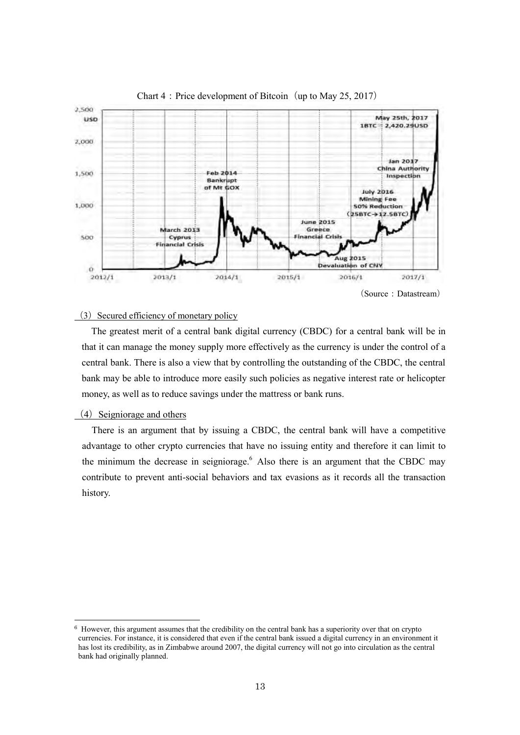

### Chart  $4:$  Price development of Bitcoin (up to May 25, 2017)

 $(3)$  Secured efficiency of monetary policy

The greatest merit of a central bank digital currency (CBDC) for a central bank will be in that it can manage the money supply more effectively as the currency is under the control of a central bank. There is also a view that by controlling the outstanding of the CBDC, the central bank may be able to introduce more easily such policies as negative interest rate or helicopter money, as well as to reduce savings under the mattress or bank runs.

#### $(4)$  Seigniorage and others

-

There is an argument that by issuing a CBDC, the central bank will have a competitive advantage to other crypto currencies that have no issuing entity and therefore it can limit to the minimum the decrease in seigniorage. $<sup>6</sup>$  Also there is an argument that the CBDC may</sup> contribute to prevent anti-social behaviors and tax evasions as it records all the transaction history.

<sup>6</sup> However, this argument assumes that the credibility on the central bank has a superiority over that on crypto currencies. For instance, it is considered that even if the central bank issued a digital currency in an environment it has lost its credibility, as in Zimbabwe around 2007, the digital currency will not go into circulation as the central bank had originally planned.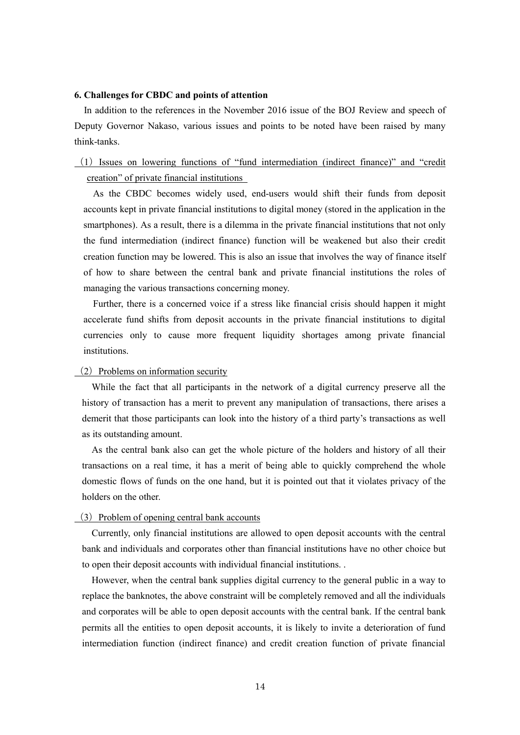#### **6. Challenges for CBDC and points of attention**

In addition to the references in the November 2016 issue of the BOJ Review and speech of Deputy Governor Nakaso, various issues and points to be noted have been raised by many think-tanks.

# (1)Issues on lowering functions of "fund intermediation (indirect finance)" and "credit creation" of private financial institutions

As the CBDC becomes widely used, end-users would shift their funds from deposit accounts kept in private financial institutions to digital money (stored in the application in the smartphones). As a result, there is a dilemma in the private financial institutions that not only the fund intermediation (indirect finance) function will be weakened but also their credit creation function may be lowered. This is also an issue that involves the way of finance itself of how to share between the central bank and private financial institutions the roles of managing the various transactions concerning money.

Further, there is a concerned voice if a stress like financial crisis should happen it might accelerate fund shifts from deposit accounts in the private financial institutions to digital currencies only to cause more frequent liquidity shortages among private financial institutions.

# $(2)$  Problems on information security

While the fact that all participants in the network of a digital currency preserve all the history of transaction has a merit to prevent any manipulation of transactions, there arises a demerit that those participants can look into the history of a third party's transactions as well as its outstanding amount.

As the central bank also can get the whole picture of the holders and history of all their transactions on a real time, it has a merit of being able to quickly comprehend the whole domestic flows of funds on the one hand, but it is pointed out that it violates privacy of the holders on the other.

# (3) Problem of opening central bank accounts

Currently, only financial institutions are allowed to open deposit accounts with the central bank and individuals and corporates other than financial institutions have no other choice but to open their deposit accounts with individual financial institutions. .

However, when the central bank supplies digital currency to the general public in a way to replace the banknotes, the above constraint will be completely removed and all the individuals and corporates will be able to open deposit accounts with the central bank. If the central bank permits all the entities to open deposit accounts, it is likely to invite a deterioration of fund intermediation function (indirect finance) and credit creation function of private financial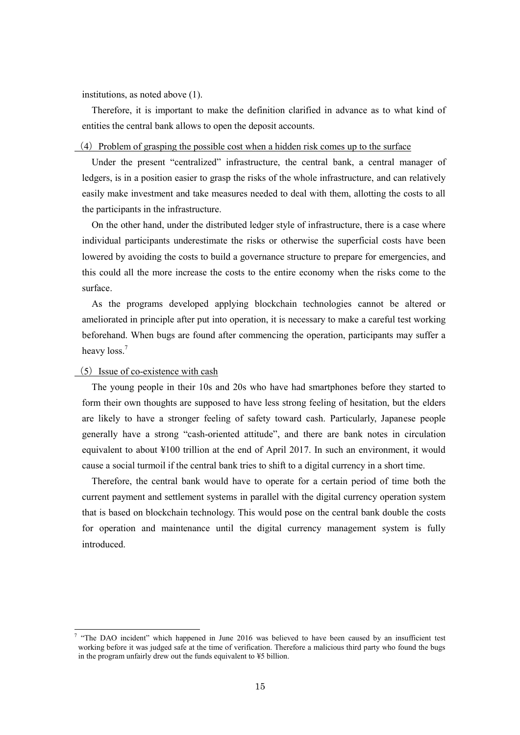institutions, as noted above (1).

Therefore, it is important to make the definition clarified in advance as to what kind of entities the central bank allows to open the deposit accounts.

#### $(4)$  Problem of grasping the possible cost when a hidden risk comes up to the surface

Under the present "centralized" infrastructure, the central bank, a central manager of ledgers, is in a position easier to grasp the risks of the whole infrastructure, and can relatively easily make investment and take measures needed to deal with them, allotting the costs to all the participants in the infrastructure.

On the other hand, under the distributed ledger style of infrastructure, there is a case where individual participants underestimate the risks or otherwise the superficial costs have been lowered by avoiding the costs to build a governance structure to prepare for emergencies, and this could all the more increase the costs to the entire economy when the risks come to the surface.

As the programs developed applying blockchain technologies cannot be altered or ameliorated in principle after put into operation, it is necessary to make a careful test working beforehand. When bugs are found after commencing the operation, participants may suffer a heavy loss.<sup>7</sup>

# $(5)$  Issue of co-existence with cash

 $\overline{\phantom{a}}$ 

The young people in their 10s and 20s who have had smartphones before they started to form their own thoughts are supposed to have less strong feeling of hesitation, but the elders are likely to have a stronger feeling of safety toward cash. Particularly, Japanese people generally have a strong "cash-oriented attitude", and there are bank notes in circulation equivalent to about ¥100 trillion at the end of April 2017. In such an environment, it would cause a social turmoil if the central bank tries to shift to a digital currency in a short time.

Therefore, the central bank would have to operate for a certain period of time both the current payment and settlement systems in parallel with the digital currency operation system that is based on blockchain technology. This would pose on the central bank double the costs for operation and maintenance until the digital currency management system is fully introduced.

<sup>&</sup>lt;sup>7</sup> "The DAO incident" which happened in June 2016 was believed to have been caused by an insufficient test working before it was judged safe at the time of verification. Therefore a malicious third party who found the bugs in the program unfairly drew out the funds equivalent to ¥5 billion.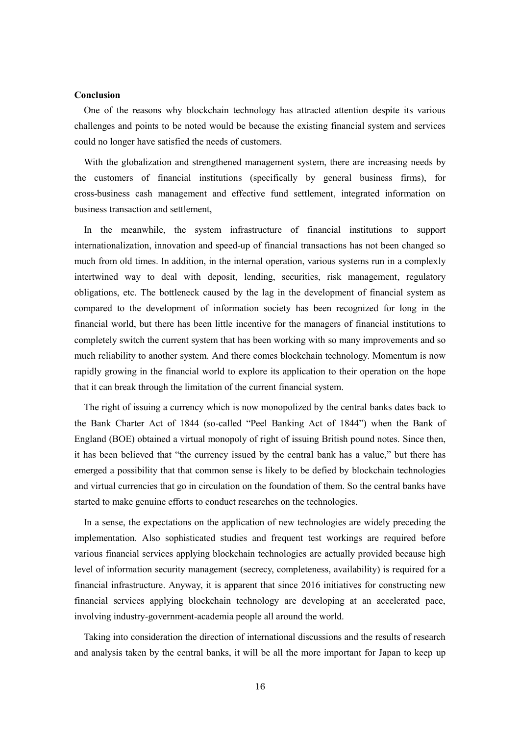#### **Conclusion**

One of the reasons why blockchain technology has attracted attention despite its various challenges and points to be noted would be because the existing financial system and services could no longer have satisfied the needs of customers.

With the globalization and strengthened management system, there are increasing needs by the customers of financial institutions (specifically by general business firms), for cross-business cash management and effective fund settlement, integrated information on business transaction and settlement,

In the meanwhile, the system infrastructure of financial institutions to support internationalization, innovation and speed-up of financial transactions has not been changed so much from old times. In addition, in the internal operation, various systems run in a complexly intertwined way to deal with deposit, lending, securities, risk management, regulatory obligations, etc. The bottleneck caused by the lag in the development of financial system as compared to the development of information society has been recognized for long in the financial world, but there has been little incentive for the managers of financial institutions to completely switch the current system that has been working with so many improvements and so much reliability to another system. And there comes blockchain technology. Momentum is now rapidly growing in the financial world to explore its application to their operation on the hope that it can break through the limitation of the current financial system.

The right of issuing a currency which is now monopolized by the central banks dates back to the Bank Charter Act of 1844 (so-called "Peel Banking Act of 1844") when the Bank of England (BOE) obtained a virtual monopoly of right of issuing British pound notes. Since then, it has been believed that "the currency issued by the central bank has a value," but there has emerged a possibility that that common sense is likely to be defied by blockchain technologies and virtual currencies that go in circulation on the foundation of them. So the central banks have started to make genuine efforts to conduct researches on the technologies.

In a sense, the expectations on the application of new technologies are widely preceding the implementation. Also sophisticated studies and frequent test workings are required before various financial services applying blockchain technologies are actually provided because high level of information security management (secrecy, completeness, availability) is required for a financial infrastructure. Anyway, it is apparent that since 2016 initiatives for constructing new financial services applying blockchain technology are developing at an accelerated pace, involving industry-government-academia people all around the world.

Taking into consideration the direction of international discussions and the results of research and analysis taken by the central banks, it will be all the more important for Japan to keep up